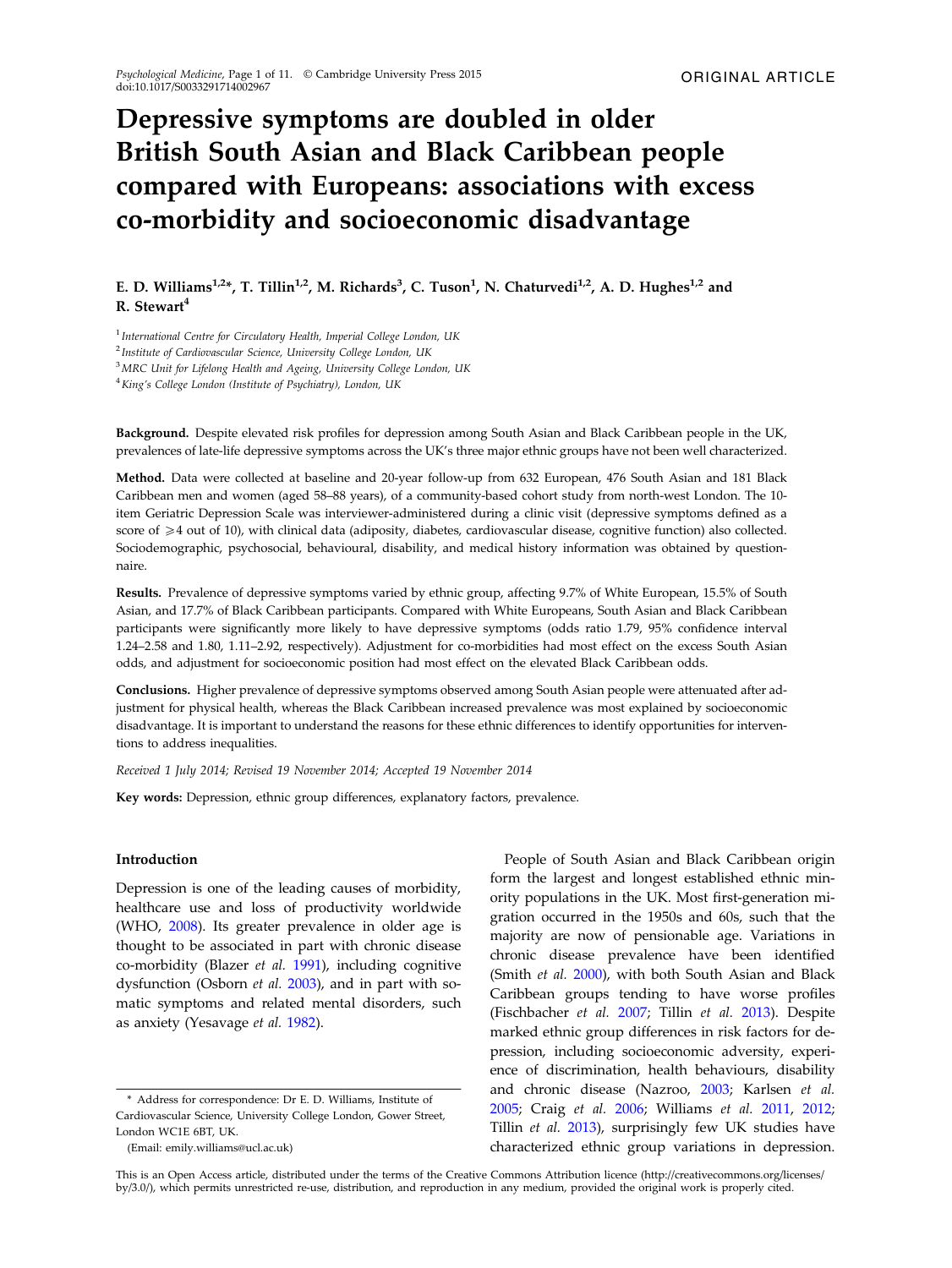# Depressive symptoms are doubled in older British South Asian and Black Caribbean people compared with Europeans: associations with excess co-morbidity and socioeconomic disadvantage

E. D. Williams<sup>1,2</sup>\*, T. Tillin<sup>1,2</sup>, M. Richards<sup>3</sup>, C. Tuson<sup>1</sup>, N. Chaturvedi<sup>1,2</sup>, A. D. Hughes<sup>1,2</sup> and R. Stewart<sup>4</sup>

<sup>1</sup> International Centre for Circulatory Health, Imperial College London, UK

<sup>2</sup> Institute of Cardiovascular Science, University College London, UK

<sup>3</sup>MRC Unit for Lifelong Health and Ageing, University College London, UK

<sup>4</sup>King's College London (Institute of Psychiatry), London, UK

Background. Despite elevated risk profiles for depression among South Asian and Black Caribbean people in the UK, prevalences of late-life depressive symptoms across the UK's three major ethnic groups have not been well characterized.

Method. Data were collected at baseline and 20-year follow-up from 632 European, 476 South Asian and 181 Black Caribbean men and women (aged 58–88 years), of a community-based cohort study from north-west London. The 10 item Geriatric Depression Scale was interviewer-administered during a clinic visit (depressive symptoms defined as a score of  $\geq 4$  out of 10), with clinical data (adiposity, diabetes, cardiovascular disease, cognitive function) also collected. Sociodemographic, psychosocial, behavioural, disability, and medical history information was obtained by questionnaire.

Results. Prevalence of depressive symptoms varied by ethnic group, affecting 9.7% of White European, 15.5% of South Asian, and 17.7% of Black Caribbean participants. Compared with White Europeans, South Asian and Black Caribbean participants were significantly more likely to have depressive symptoms (odds ratio 1.79, 95% confidence interval 1.24–2.58 and 1.80, 1.11–2.92, respectively). Adjustment for co-morbidities had most effect on the excess South Asian odds, and adjustment for socioeconomic position had most effect on the elevated Black Caribbean odds.

Conclusions. Higher prevalence of depressive symptoms observed among South Asian people were attenuated after adjustment for physical health, whereas the Black Caribbean increased prevalence was most explained by socioeconomic disadvantage. It is important to understand the reasons for these ethnic differences to identify opportunities for interventions to address inequalities.

Received 1 July 2014; Revised 19 November 2014; Accepted 19 November 2014

Key words: Depression, ethnic group differences, explanatory factors, prevalence.

#### Introduction

Depression is one of the leading causes of morbidity, healthcare use and loss of productivity worldwide (WHO, [2008\)](#page-10-0). Its greater prevalence in older age is thought to be associated in part with chronic disease co-morbidity (Blazer et al. [1991](#page-9-0)), including cognitive dysfunction (Osborn et al. [2003](#page-9-0)), and in part with somatic symptoms and related mental disorders, such as anxiety (Yesavage et al. [1982\)](#page-10-0).

(Email: emily.williams@ucl.ac.uk)

People of South Asian and Black Caribbean origin form the largest and longest established ethnic minority populations in the UK. Most first-generation migration occurred in the 1950s and 60s, such that the majority are now of pensionable age. Variations in chronic disease prevalence have been identified (Smith et al. [2000\)](#page-10-0), with both South Asian and Black Caribbean groups tending to have worse profiles (Fischbacher et al. [2007;](#page-9-0) Tillin et al. [2013](#page-10-0)). Despite marked ethnic group differences in risk factors for depression, including socioeconomic adversity, experience of discrimination, health behaviours, disability and chronic disease (Nazroo, [2003;](#page-9-0) Karlsen et al. [2005;](#page-9-0) Craig et al. [2006](#page-9-0); Williams et al. [2011,](#page-10-0) [2012](#page-10-0); Tillin et al. [2013](#page-10-0)), surprisingly few UK studies have characterized ethnic group variations in depression.

This is an Open Access article, distributed under the terms of the Creative Commons Attribution licence (http://creativecommons.org/licenses/ by/3.0/), which permits unrestricted re-use, distribution, and reproduction in any medium, provided the original work is properly cited.

<sup>\*</sup> Address for correspondence: Dr E. D. Williams, Institute of Cardiovascular Science, University College London, Gower Street, London WC1E 6BT, UK.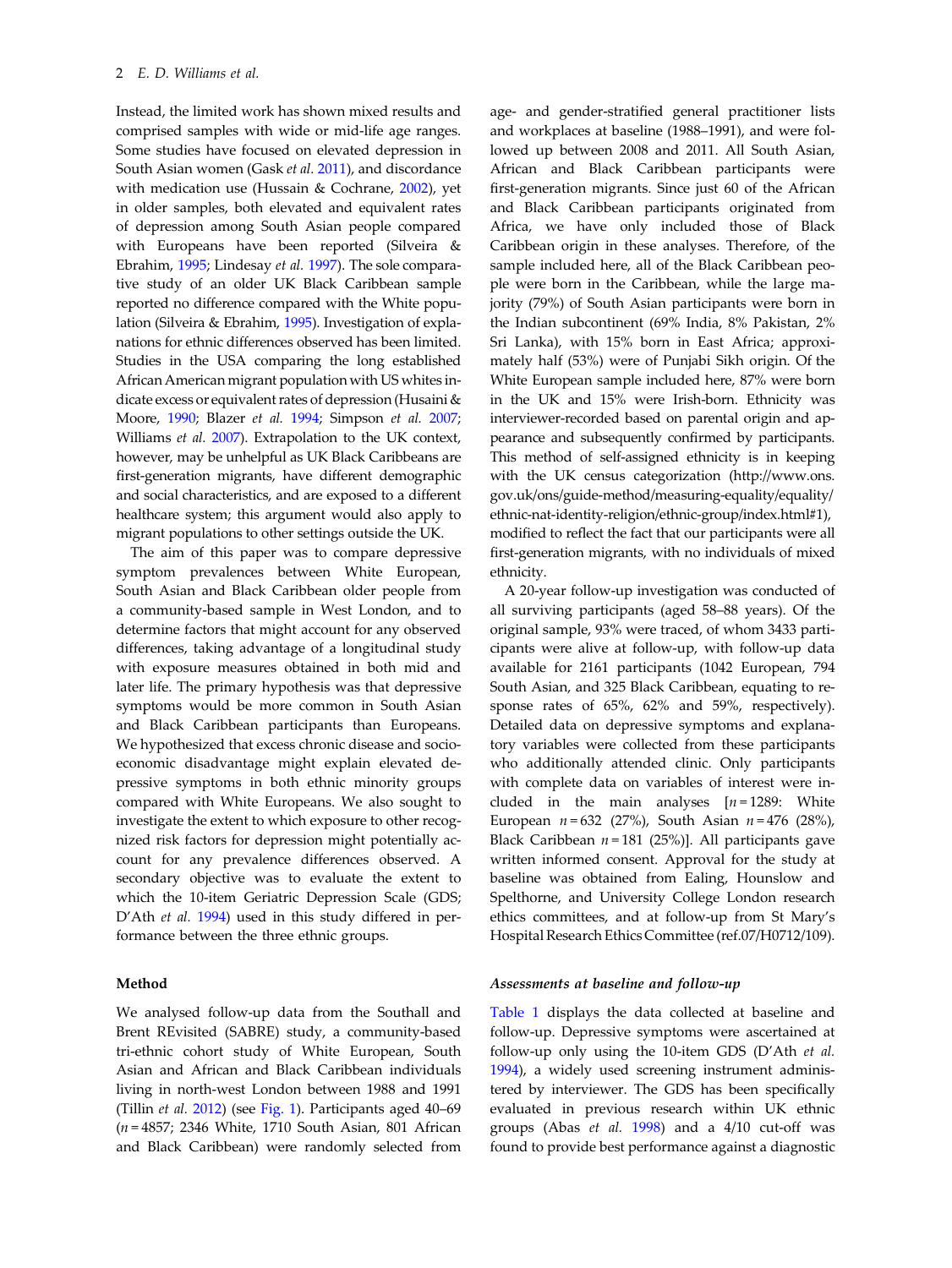Instead, the limited work has shown mixed results and comprised samples with wide or mid-life age ranges. Some studies have focused on elevated depression in South Asian women (Gask et al. [2011\)](#page-9-0), and discordance with medication use (Hussain & Cochrane, [2002](#page-9-0)), yet in older samples, both elevated and equivalent rates of depression among South Asian people compared with Europeans have been reported (Silveira & Ebrahim, [1995](#page-9-0); Lindesay et al. [1997\)](#page-9-0). The sole comparative study of an older UK Black Caribbean sample reported no difference compared with the White population (Silveira & Ebrahim, [1995](#page-9-0)). Investigation of explanations for ethnic differences observed has been limited. Studies in the USA comparing the long established African American migrant population with US whites indicate excess or equivalent rates of depression (Husaini & Moore, [1990](#page-9-0); Blazer et al. [1994;](#page-9-0) Simpson et al. [2007](#page-10-0); Williams et al. [2007](#page-10-0)). Extrapolation to the UK context, however, may be unhelpful as UK Black Caribbeans are first-generation migrants, have different demographic and social characteristics, and are exposed to a different healthcare system; this argument would also apply to migrant populations to other settings outside the UK.

The aim of this paper was to compare depressive symptom prevalences between White European, South Asian and Black Caribbean older people from a community-based sample in West London, and to determine factors that might account for any observed differences, taking advantage of a longitudinal study with exposure measures obtained in both mid and later life. The primary hypothesis was that depressive symptoms would be more common in South Asian and Black Caribbean participants than Europeans. We hypothesized that excess chronic disease and socioeconomic disadvantage might explain elevated depressive symptoms in both ethnic minority groups compared with White Europeans. We also sought to investigate the extent to which exposure to other recognized risk factors for depression might potentially account for any prevalence differences observed. A secondary objective was to evaluate the extent to which the 10-item Geriatric Depression Scale (GDS; D'Ath et al. [1994](#page-9-0)) used in this study differed in performance between the three ethnic groups.

#### Method

We analysed follow-up data from the Southall and Brent REvisited (SABRE) study, a community-based tri-ethnic cohort study of White European, South Asian and African and Black Caribbean individuals living in north-west London between 1988 and 1991 (Tillin et al. [2012\)](#page-10-0) (see [Fig. 1\)](#page-2-0). Participants aged 40–69 (n = 4857; 2346 White, 1710 South Asian, 801 African and Black Caribbean) were randomly selected from

age- and gender-stratified general practitioner lists and workplaces at baseline (1988–1991), and were followed up between 2008 and 2011. All South Asian, African and Black Caribbean participants were first-generation migrants. Since just 60 of the African and Black Caribbean participants originated from Africa, we have only included those of Black Caribbean origin in these analyses. Therefore, of the sample included here, all of the Black Caribbean people were born in the Caribbean, while the large majority (79%) of South Asian participants were born in the Indian subcontinent (69% India, 8% Pakistan, 2% Sri Lanka), with 15% born in East Africa; approximately half (53%) were of Punjabi Sikh origin. Of the White European sample included here, 87% were born in the UK and 15% were Irish-born. Ethnicity was interviewer-recorded based on parental origin and appearance and subsequently confirmed by participants. This method of self-assigned ethnicity is in keeping with the UK census categorization (http://www.ons. gov.uk/ons/guide-method/measuring-equality/equality/ ethnic-nat-identity-religion/ethnic-group/index.html#1), modified to reflect the fact that our participants were all first-generation migrants, with no individuals of mixed ethnicity.

A 20-year follow-up investigation was conducted of all surviving participants (aged 58–88 years). Of the original sample, 93% were traced, of whom 3433 participants were alive at follow-up, with follow-up data available for 2161 participants (1042 European, 794 South Asian, and 325 Black Caribbean, equating to response rates of 65%, 62% and 59%, respectively). Detailed data on depressive symptoms and explanatory variables were collected from these participants who additionally attended clinic. Only participants with complete data on variables of interest were included in the main analyses  $[n=1289:$  White European  $n = 632$  (27%), South Asian  $n = 476$  (28%), Black Caribbean  $n = 181$  (25%)]. All participants gave written informed consent. Approval for the study at baseline was obtained from Ealing, Hounslow and Spelthorne, and University College London research ethics committees, and at follow-up from St Mary's Hospital Research Ethics Committee (ref.07/H0712/109).

#### Assessments at baseline and follow-up

[Table 1](#page-3-0) displays the data collected at baseline and follow-up. Depressive symptoms were ascertained at follow-up only using the 10-item GDS (D'Ath et al. [1994\)](#page-9-0), a widely used screening instrument administered by interviewer. The GDS has been specifically evaluated in previous research within UK ethnic groups (Abas et al. [1998](#page-9-0)) and a 4/10 cut-off was found to provide best performance against a diagnostic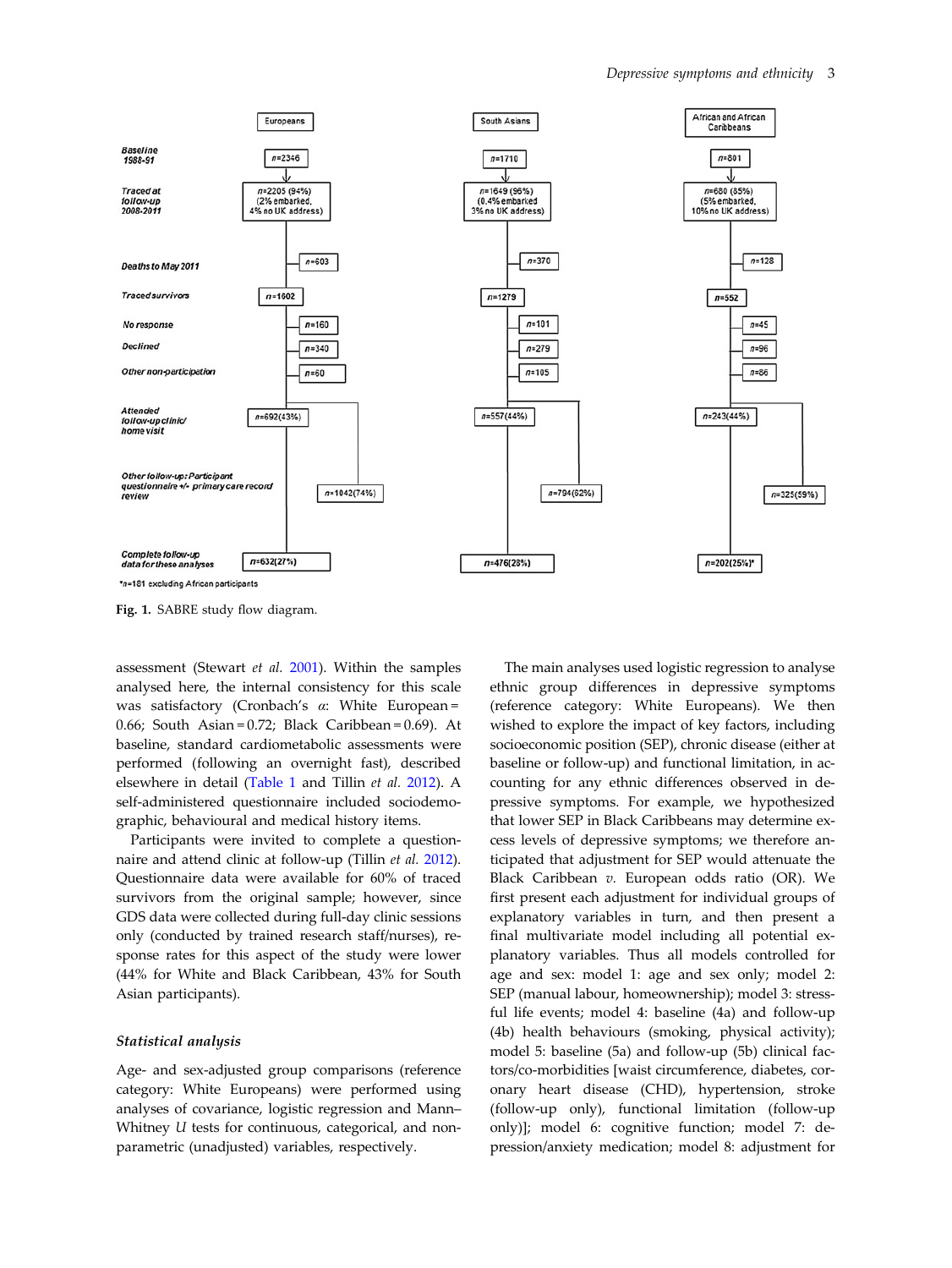<span id="page-2-0"></span>

Fig. 1. SABRE study flow diagram.

assessment (Stewart et al. [2001](#page-10-0)). Within the samples analysed here, the internal consistency for this scale was satisfactory (Cronbach's α: White European = 0.66; South Asian =  $0.72$ ; Black Caribbean =  $0.69$ ). At baseline, standard cardiometabolic assessments were performed (following an overnight fast), described elsewhere in detail ([Table 1](#page-3-0) and Tillin et al. [2012\)](#page-10-0). A self-administered questionnaire included sociodemographic, behavioural and medical history items.

Participants were invited to complete a questionnaire and attend clinic at follow-up (Tillin et al. [2012](#page-10-0)). Questionnaire data were available for 60% of traced survivors from the original sample; however, since GDS data were collected during full-day clinic sessions only (conducted by trained research staff/nurses), response rates for this aspect of the study were lower (44% for White and Black Caribbean, 43% for South Asian participants).

#### Statistical analysis

Age- and sex-adjusted group comparisons (reference category: White Europeans) were performed using analyses of covariance, logistic regression and Mann– Whitney U tests for continuous, categorical, and nonparametric (unadjusted) variables, respectively.

The main analyses used logistic regression to analyse ethnic group differences in depressive symptoms (reference category: White Europeans). We then wished to explore the impact of key factors, including socioeconomic position (SEP), chronic disease (either at baseline or follow-up) and functional limitation, in accounting for any ethnic differences observed in depressive symptoms. For example, we hypothesized that lower SEP in Black Caribbeans may determine excess levels of depressive symptoms; we therefore anticipated that adjustment for SEP would attenuate the Black Caribbean v. European odds ratio (OR). We first present each adjustment for individual groups of explanatory variables in turn, and then present a final multivariate model including all potential explanatory variables. Thus all models controlled for age and sex: model 1: age and sex only; model 2: SEP (manual labour, homeownership); model 3: stressful life events; model 4: baseline (4a) and follow-up (4b) health behaviours (smoking, physical activity); model 5: baseline (5a) and follow-up (5b) clinical factors/co-morbidities [waist circumference, diabetes, coronary heart disease (CHD), hypertension, stroke (follow-up only), functional limitation (follow-up only)]; model 6: cognitive function; model 7: depression/anxiety medication; model 8: adjustment for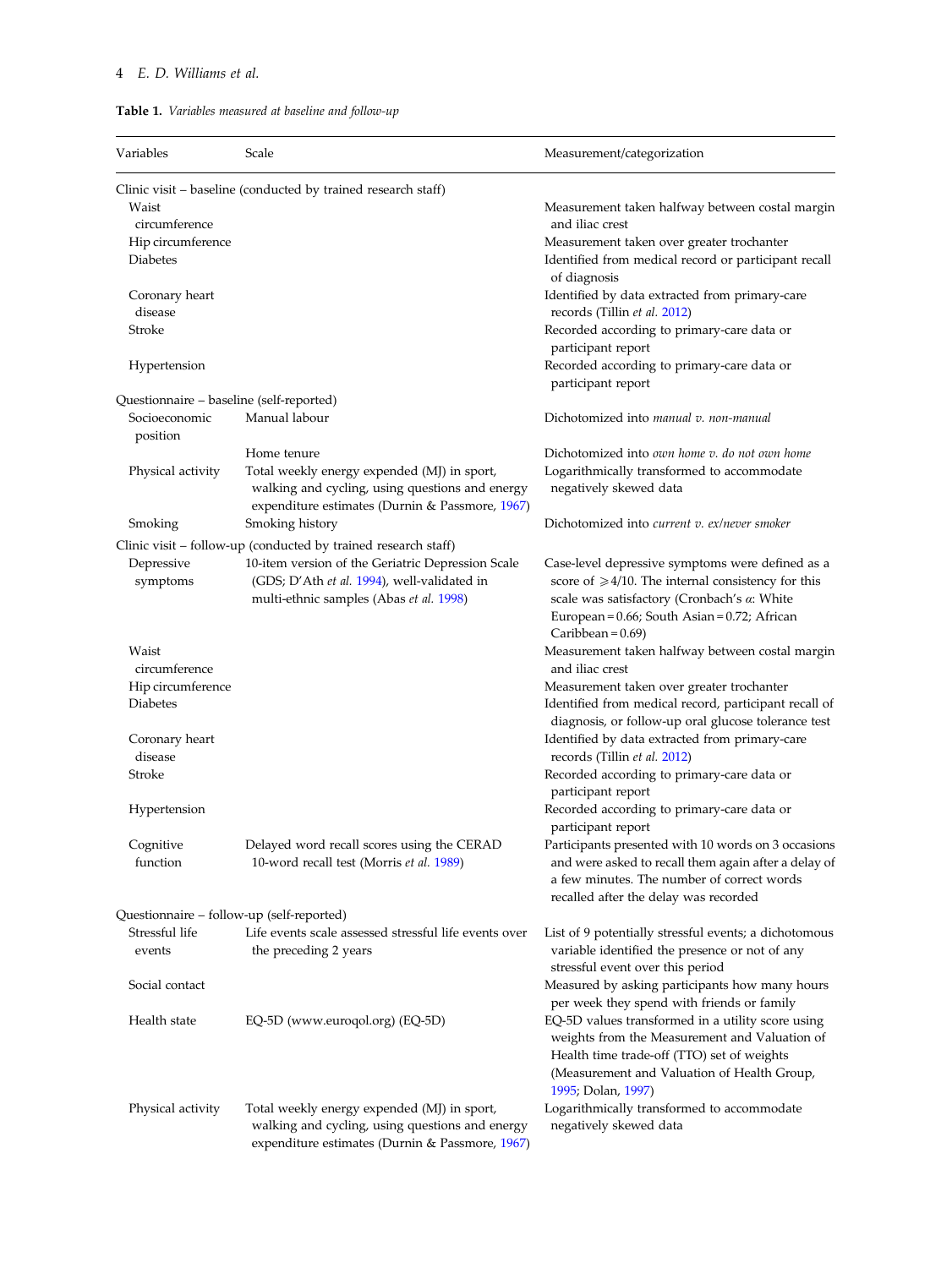<span id="page-3-0"></span>Table 1. Variables measured at baseline and follow-up

| Variables                                 | Scale                                                                                                                                             | Measurement/categorization                                                                                                                                                                                            |
|-------------------------------------------|---------------------------------------------------------------------------------------------------------------------------------------------------|-----------------------------------------------------------------------------------------------------------------------------------------------------------------------------------------------------------------------|
|                                           | Clinic visit - baseline (conducted by trained research staff)                                                                                     |                                                                                                                                                                                                                       |
| Waist<br>circumference                    |                                                                                                                                                   | Measurement taken halfway between costal margin<br>and iliac crest                                                                                                                                                    |
| Hip circumference<br><b>Diabetes</b>      |                                                                                                                                                   | Measurement taken over greater trochanter<br>Identified from medical record or participant recall<br>of diagnosis                                                                                                     |
| Coronary heart<br>disease                 |                                                                                                                                                   | Identified by data extracted from primary-care<br>records (Tillin et al. 2012)                                                                                                                                        |
| Stroke                                    |                                                                                                                                                   | Recorded according to primary-care data or<br>participant report                                                                                                                                                      |
| Hypertension                              |                                                                                                                                                   | Recorded according to primary-care data or<br>participant report                                                                                                                                                      |
| Questionnaire – baseline (self-reported)  |                                                                                                                                                   |                                                                                                                                                                                                                       |
| Socioeconomic<br>position                 | Manual labour                                                                                                                                     | Dichotomized into manual v. non-manual                                                                                                                                                                                |
|                                           | Home tenure                                                                                                                                       | Dichotomized into own home v. do not own home                                                                                                                                                                         |
| Physical activity                         | Total weekly energy expended (MJ) in sport,                                                                                                       | Logarithmically transformed to accommodate                                                                                                                                                                            |
|                                           | walking and cycling, using questions and energy<br>expenditure estimates (Durnin & Passmore, 1967)                                                | negatively skewed data                                                                                                                                                                                                |
| Smoking                                   | Smoking history                                                                                                                                   | Dichotomized into current v. ex/never smoker                                                                                                                                                                          |
|                                           | Clinic visit – follow-up (conducted by trained research staff)                                                                                    |                                                                                                                                                                                                                       |
| Depressive<br>symptoms                    | 10-item version of the Geriatric Depression Scale<br>(GDS; D'Ath et al. 1994), well-validated in                                                  | Case-level depressive symptoms were defined as a<br>score of $\geq 4/10$ . The internal consistency for this                                                                                                          |
|                                           | multi-ethnic samples (Abas et al. 1998)                                                                                                           | scale was satisfactory (Cronbach's $\alpha$ : White<br>European = 0.66; South Asian = 0.72; African                                                                                                                   |
| Waist                                     |                                                                                                                                                   | Caribbean = $0.69$ )<br>Measurement taken halfway between costal margin                                                                                                                                               |
| circumference                             |                                                                                                                                                   | and iliac crest                                                                                                                                                                                                       |
| Hip circumference                         |                                                                                                                                                   | Measurement taken over greater trochanter                                                                                                                                                                             |
| <b>Diabetes</b>                           |                                                                                                                                                   | Identified from medical record, participant recall of                                                                                                                                                                 |
| Coronary heart                            |                                                                                                                                                   | diagnosis, or follow-up oral glucose tolerance test<br>Identified by data extracted from primary-care                                                                                                                 |
| disease                                   |                                                                                                                                                   | records (Tillin et al. 2012)                                                                                                                                                                                          |
| Stroke                                    |                                                                                                                                                   | Recorded according to primary-care data or<br>participant report                                                                                                                                                      |
| Hypertension                              |                                                                                                                                                   | Recorded according to primary-care data or<br>participant report                                                                                                                                                      |
| Cognitive                                 | Delayed word recall scores using the CERAD                                                                                                        | Participants presented with 10 words on 3 occasions                                                                                                                                                                   |
| function                                  | 10-word recall test (Morris et al. 1989)                                                                                                          | and were asked to recall them again after a delay of<br>a few minutes. The number of correct words<br>recalled after the delay was recorded                                                                           |
| Questionnaire - follow-up (self-reported) |                                                                                                                                                   |                                                                                                                                                                                                                       |
| Stressful life<br>events                  | Life events scale assessed stressful life events over<br>the preceding 2 years                                                                    | List of 9 potentially stressful events; a dichotomous<br>variable identified the presence or not of any<br>stressful event over this period                                                                           |
| Social contact                            |                                                                                                                                                   | Measured by asking participants how many hours<br>per week they spend with friends or family                                                                                                                          |
| Health state                              | EQ-5D (www.euroqol.org) (EQ-5D)                                                                                                                   | EQ-5D values transformed in a utility score using<br>weights from the Measurement and Valuation of<br>Health time trade-off (TTO) set of weights<br>(Measurement and Valuation of Health Group,<br>1995; Dolan, 1997) |
| Physical activity                         | Total weekly energy expended (MJ) in sport,<br>walking and cycling, using questions and energy<br>expenditure estimates (Durnin & Passmore, 1967) | Logarithmically transformed to accommodate<br>negatively skewed data                                                                                                                                                  |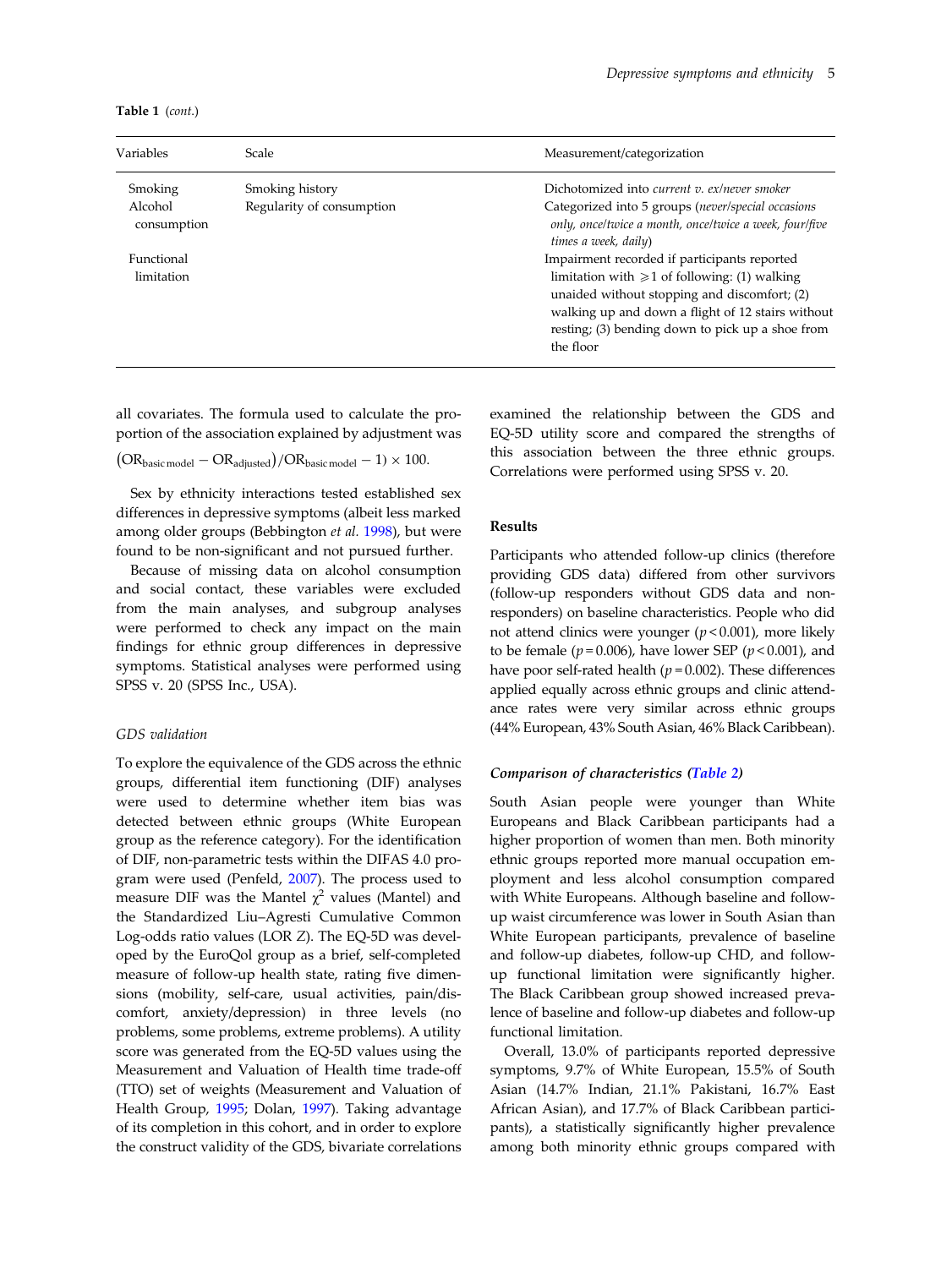Table 1 (cont.)

| Variables                | Scale                     | Measurement/categorization                                                                                                                                                                                                                                               |  |
|--------------------------|---------------------------|--------------------------------------------------------------------------------------------------------------------------------------------------------------------------------------------------------------------------------------------------------------------------|--|
| Smoking                  | Smoking history           | Dichotomized into current v. ex/never smoker                                                                                                                                                                                                                             |  |
| Alcohol<br>consumption   | Regularity of consumption | Categorized into 5 groups (never/special occasions<br>only, once/twice a month, once/twice a week, four/five<br>times a week, daily)                                                                                                                                     |  |
| Functional<br>limitation |                           | Impairment recorded if participants reported<br>limitation with $\geq 1$ of following: (1) walking<br>unaided without stopping and discomfort; (2)<br>walking up and down a flight of 12 stairs without<br>resting; (3) bending down to pick up a shoe from<br>the floor |  |

all covariates. The formula used to calculate the proportion of the association explained by adjustment was

$$
(OR_{\text{basic model}} - OR_{\text{adjusted}})/OR_{\text{basic model}} - 1) \times 100.
$$

Sex by ethnicity interactions tested established sex differences in depressive symptoms (albeit less marked among older groups (Bebbington et al. [1998\)](#page-9-0), but were found to be non-significant and not pursued further.

Because of missing data on alcohol consumption and social contact, these variables were excluded from the main analyses, and subgroup analyses were performed to check any impact on the main findings for ethnic group differences in depressive symptoms. Statistical analyses were performed using SPSS v. 20 (SPSS Inc., USA).

# GDS validation

To explore the equivalence of the GDS across the ethnic groups, differential item functioning (DIF) analyses were used to determine whether item bias was detected between ethnic groups (White European group as the reference category). For the identification of DIF, non-parametric tests within the DIFAS 4.0 program were used (Penfeld, [2007\)](#page-9-0). The process used to measure DIF was the Mantel  $\chi^2$  values (Mantel) and the Standardized Liu–Agresti Cumulative Common Log-odds ratio values (LOR Z). The EQ-5D was developed by the EuroQol group as a brief, self-completed measure of follow-up health state, rating five dimensions (mobility, self-care, usual activities, pain/discomfort, anxiety/depression) in three levels (no problems, some problems, extreme problems). A utility score was generated from the EQ-5D values using the Measurement and Valuation of Health time trade-off (TTO) set of weights (Measurement and Valuation of Health Group, [1995](#page-9-0); Dolan, [1997](#page-9-0)). Taking advantage of its completion in this cohort, and in order to explore the construct validity of the GDS, bivariate correlations

examined the relationship between the GDS and EQ-5D utility score and compared the strengths of this association between the three ethnic groups. Correlations were performed using SPSS v. 20.

#### Results

Participants who attended follow-up clinics (therefore providing GDS data) differed from other survivors (follow-up responders without GDS data and nonresponders) on baseline characteristics. People who did not attend clinics were younger ( $p$  < 0.001), more likely to be female ( $p = 0.006$ ), have lower SEP ( $p < 0.001$ ), and have poor self-rated health ( $p = 0.002$ ). These differences applied equally across ethnic groups and clinic attendance rates were very similar across ethnic groups (44% European, 43% South Asian, 46% Black Caribbean).

# Comparison of characteristics ([Table 2](#page-5-0))

South Asian people were younger than White Europeans and Black Caribbean participants had a higher proportion of women than men. Both minority ethnic groups reported more manual occupation employment and less alcohol consumption compared with White Europeans. Although baseline and followup waist circumference was lower in South Asian than White European participants, prevalence of baseline and follow-up diabetes, follow-up CHD, and followup functional limitation were significantly higher. The Black Caribbean group showed increased prevalence of baseline and follow-up diabetes and follow-up functional limitation.

Overall, 13.0% of participants reported depressive symptoms, 9.7% of White European, 15.5% of South Asian (14.7% Indian, 21.1% Pakistani, 16.7% East African Asian), and 17.7% of Black Caribbean participants), a statistically significantly higher prevalence among both minority ethnic groups compared with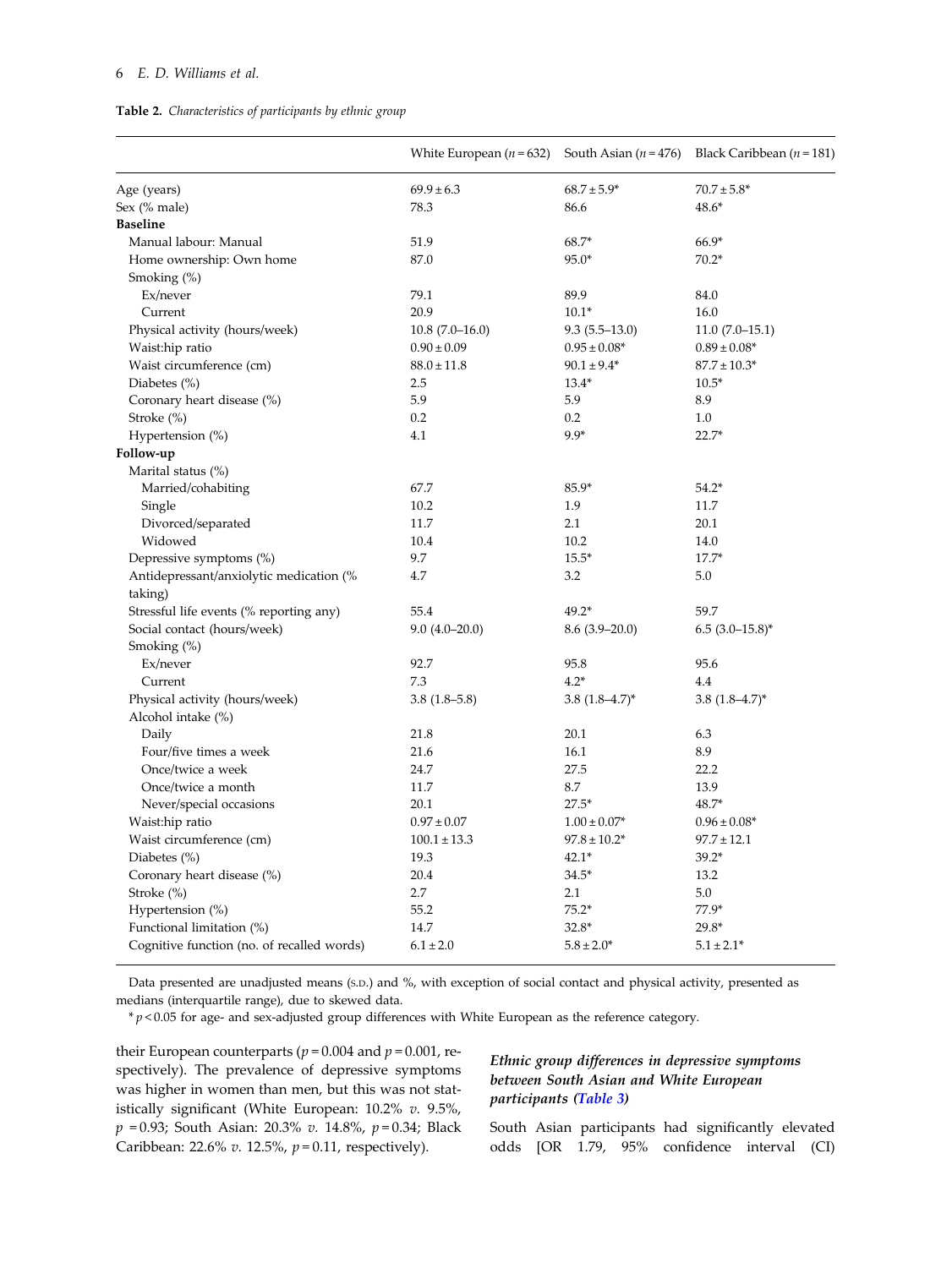## <span id="page-5-0"></span>6 E. D. Williams et al.

|                                            | White European $(n = 632)$ | South Asian $(n=476)$ | Black Caribbean ( $n = 181$ ) |
|--------------------------------------------|----------------------------|-----------------------|-------------------------------|
| Age (years)                                | $69.9 \pm 6.3$             | $68.7 \pm 5.9*$       | $70.7 \pm 5.8^*$              |
| Sex (% male)                               | 78.3                       | 86.6                  | $48.6*$                       |
| <b>Baseline</b>                            |                            |                       |                               |
| Manual labour: Manual                      | 51.9                       | 68.7*                 | $66.9*$                       |
| Home ownership: Own home                   | 87.0                       | $95.0*$               | $70.2*$                       |
| Smoking $(\%)$                             |                            |                       |                               |
| Ex/never                                   | 79.1                       | 89.9                  | 84.0                          |
| Current                                    | 20.9                       | $10.1*$               | 16.0                          |
| Physical activity (hours/week)             | $10.8(7.0-16.0)$           | $9.3(5.5-13.0)$       | $11.0 (7.0 - 15.1)$           |
| Waist:hip ratio                            | $0.90 \pm 0.09$            | $0.95 \pm 0.08*$      | $0.89 \pm 0.08*$              |
| Waist circumference (cm)                   | $88.0 \pm 11.8$            | $90.1 \pm 9.4*$       | $87.7 \pm 10.3^*$             |
| Diabetes $(\%)$                            | 2.5                        | $13.4*$               | $10.5*$                       |
| Coronary heart disease (%)                 | 5.9                        | 5.9                   | 8.9                           |
| Stroke $(\%)$                              | 0.2                        | 0.2                   | 1.0                           |
| Hypertension (%)                           | 4.1                        | 9.9*                  | $22.7*$                       |
| Follow-up                                  |                            |                       |                               |
| Marital status (%)                         |                            |                       |                               |
| Married/cohabiting                         | 67.7                       | 85.9*                 | $54.2*$                       |
| Single                                     | 10.2                       | 1.9                   | 11.7                          |
| Divorced/separated                         | 11.7                       | 2.1                   | 20.1                          |
| Widowed                                    | 10.4                       | 10.2                  | 14.0                          |
| Depressive symptoms (%)                    | 9.7                        | $15.5*$               | $17.7*$                       |
| Antidepressant/anxiolytic medication (%    | 4.7                        | 3.2                   | 5.0                           |
| taking)                                    |                            |                       |                               |
| Stressful life events (% reporting any)    | 55.4                       | $49.2*$               | 59.7                          |
| Social contact (hours/week)                | $9.0(4.0-20.0)$            | $8.6(3.9-20.0)$       | $6.5(3.0-15.8)^{*}$           |
| Smoking (%)                                |                            |                       |                               |
| Ex/never                                   | 92.7                       | 95.8                  | 95.6                          |
| Current                                    | 7.3                        | $4.2*$                | 4.4                           |
| Physical activity (hours/week)             | $3.8(1.8-5.8)$             | $3.8(1.8-4.7)^{*}$    | $3.8(1.8-4.7)^{*}$            |
| Alcohol intake (%)                         |                            |                       |                               |
| Daily                                      | 21.8                       | 20.1                  | 6.3                           |
| Four/five times a week                     | 21.6                       | 16.1                  | 8.9                           |
| Once/twice a week                          | 24.7                       | 27.5                  | 22.2                          |
| Once/twice a month                         | 11.7                       | 8.7                   | 13.9                          |
| Never/special occasions                    | 20.1                       | $27.5*$               | 48.7*                         |
| Waist:hip ratio                            | $0.97 \pm 0.07$            | $1.00 \pm 0.07*$      | $0.96 \pm 0.08*$              |
| Waist circumference (cm)                   | $100.1 \pm 13.3$           | $97.8 \pm 10.2^*$     | $97.7 \pm 12.1$               |
| Diabetes $(\%)$                            | 19.3                       | $42.1*$               | $39.2*$                       |
| Coronary heart disease (%)                 | 20.4                       | $34.5*$               | 13.2                          |
| Stroke (%)                                 | 2.7                        | 2.1                   | 5.0                           |
| Hypertension (%)                           | 55.2                       | $75.2*$               | 77.9*                         |
| Functional limitation (%)                  | 14.7                       | $32.8*$               | $29.8*$                       |
| Cognitive function (no. of recalled words) | $6.1 \pm 2.0$              | $5.8 \pm 2.0^*$       | $5.1 \pm 2.1*$                |

Data presented are unadjusted means (S.D.) and %, with exception of social contact and physical activity, presented as medians (interquartile range), due to skewed data.

 $* p < 0.05$  for age- and sex-adjusted group differences with White European as the reference category.

their European counterparts ( $p = 0.004$  and  $p = 0.001$ , respectively). The prevalence of depressive symptoms was higher in women than men, but this was not statistically significant (White European: 10.2% v. 9.5%,  $p = 0.93$ ; South Asian: 20.3% v. 14.8%,  $p = 0.34$ ; Black Caribbean: 22.6% v. 12.5%,  $p = 0.11$ , respectively).

# Ethnic group differences in depressive symptoms between South Asian and White European participants [\(Table 3\)](#page-6-0)

South Asian participants had significantly elevated odds [OR 1.79, 95% confidence interval (CI)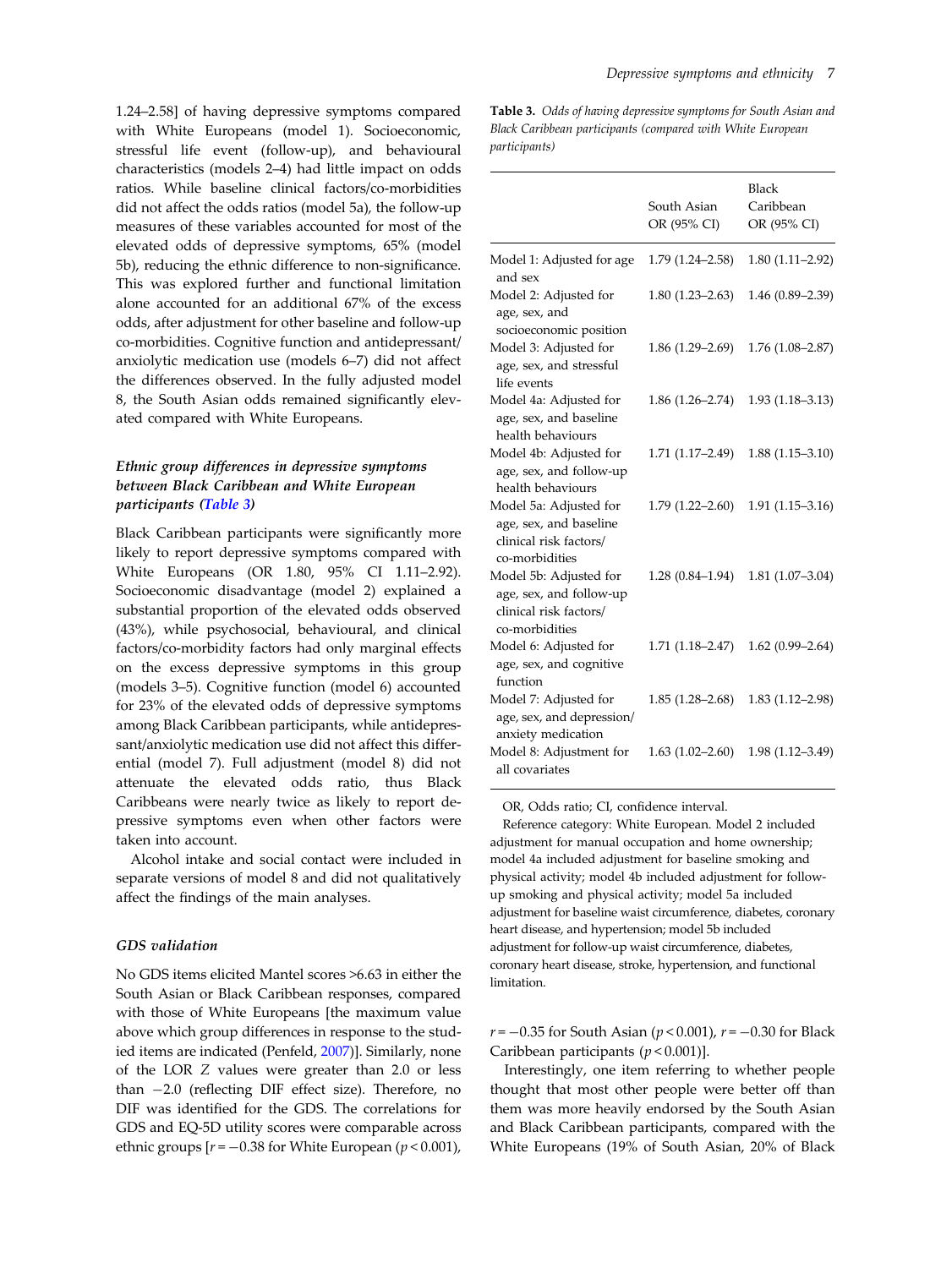<span id="page-6-0"></span>1.24–2.58] of having depressive symptoms compared with White Europeans (model 1). Socioeconomic, stressful life event (follow-up), and behavioural characteristics (models 2–4) had little impact on odds ratios. While baseline clinical factors/co-morbidities did not affect the odds ratios (model 5a), the follow-up measures of these variables accounted for most of the elevated odds of depressive symptoms, 65% (model 5b), reducing the ethnic difference to non-significance. This was explored further and functional limitation alone accounted for an additional 67% of the excess odds, after adjustment for other baseline and follow-up co-morbidities. Cognitive function and antidepressant/ anxiolytic medication use (models 6–7) did not affect the differences observed. In the fully adjusted model 8, the South Asian odds remained significantly elevated compared with White Europeans.

# Ethnic group differences in depressive symptoms between Black Caribbean and White European participants (Table 3)

Black Caribbean participants were significantly more likely to report depressive symptoms compared with White Europeans (OR 1.80, 95% CI 1.11–2.92). Socioeconomic disadvantage (model 2) explained a substantial proportion of the elevated odds observed (43%), while psychosocial, behavioural, and clinical factors/co-morbidity factors had only marginal effects on the excess depressive symptoms in this group (models 3–5). Cognitive function (model 6) accounted for 23% of the elevated odds of depressive symptoms among Black Caribbean participants, while antidepressant/anxiolytic medication use did not affect this differential (model 7). Full adjustment (model 8) did not attenuate the elevated odds ratio, thus Black Caribbeans were nearly twice as likely to report depressive symptoms even when other factors were taken into account.

Alcohol intake and social contact were included in separate versions of model 8 and did not qualitatively affect the findings of the main analyses.

#### GDS validation

No GDS items elicited Mantel scores >6.63 in either the South Asian or Black Caribbean responses, compared with those of White Europeans [the maximum value above which group differences in response to the studied items are indicated (Penfeld, [2007\)](#page-9-0)]. Similarly, none of the LOR Z values were greater than 2.0 or less than <sup>−</sup>2.0 (reflecting DIF effect size). Therefore, no DIF was identified for the GDS. The correlations for GDS and EQ-5D utility scores were comparable across ethnic groups  $[r = -0.38$  for White European ( $p < 0.001$ ), Table 3. Odds of having depressive symptoms for South Asian and Black Caribbean participants (compared with White European participants)

|                                                                                               | South Asian<br>OR (95% CI) | Black<br>Caribbean<br>OR (95% CI) |
|-----------------------------------------------------------------------------------------------|----------------------------|-----------------------------------|
| Model 1: Adjusted for age<br>and sex                                                          | $1.79(1.24 - 2.58)$        | $1.80(1.11 - 2.92)$               |
| Model 2: Adjusted for<br>age, sex, and                                                        | $1.80(1.23 - 2.63)$        | $1.46(0.89 - 2.39)$               |
| socioeconomic position<br>Model 3: Adjusted for<br>age, sex, and stressful<br>life events     | $1.86(1.29-2.69)$          | $1.76(1.08-2.87)$                 |
| Model 4a: Adjusted for<br>age, sex, and baseline<br>health behaviours                         | $1.86(1.26 - 2.74)$        | $1.93(1.18 - 3.13)$               |
| Model 4b: Adjusted for<br>age, sex, and follow-up<br>health behaviours                        | $1.71(1.17-2.49)$          | $1.88(1.15 - 3.10)$               |
| Model 5a: Adjusted for<br>age, sex, and baseline<br>clinical risk factors/<br>co-morbidities  | $1.79(1.22 - 2.60)$        | $1.91(1.15 - 3.16)$               |
| Model 5b: Adjusted for<br>age, sex, and follow-up<br>clinical risk factors/<br>co-morbidities | $1.28(0.84-1.94)$          | $1.81(1.07-3.04)$                 |
| Model 6: Adjusted for<br>age, sex, and cognitive<br>function                                  | $1.71(1.18 - 2.47)$        | $1.62(0.99 - 2.64)$               |
| Model 7: Adjusted for<br>age, sex, and depression/<br>anxiety medication                      | $1.85(1.28 - 2.68)$        | $1.83(1.12 - 2.98)$               |
| Model 8: Adjustment for<br>all covariates                                                     | $1.63(1.02 - 2.60)$        | $1.98(1.12 - 3.49)$               |

OR, Odds ratio; CI, confidence interval.

Reference category: White European. Model 2 included adjustment for manual occupation and home ownership; model 4a included adjustment for baseline smoking and physical activity; model 4b included adjustment for followup smoking and physical activity; model 5a included adjustment for baseline waist circumference, diabetes, coronary heart disease, and hypertension; model 5b included adjustment for follow-up waist circumference, diabetes, coronary heart disease, stroke, hypertension, and functional limitation.

 $r = -0.35$  for South Asian ( $p < 0.001$ ),  $r = -0.30$  for Black Caribbean participants  $(p < 0.001)$ ].

Interestingly, one item referring to whether people thought that most other people were better off than them was more heavily endorsed by the South Asian and Black Caribbean participants, compared with the White Europeans (19% of South Asian, 20% of Black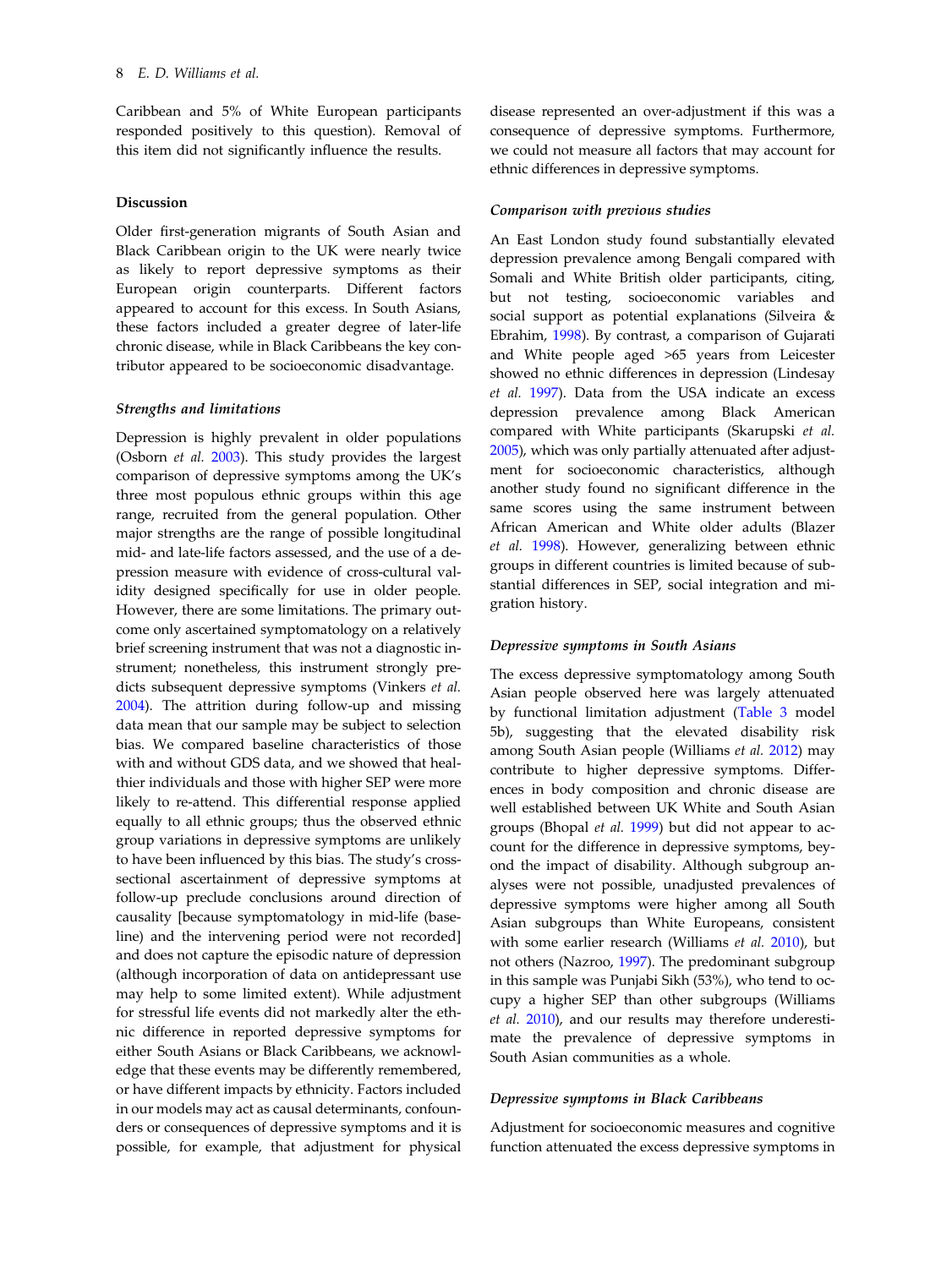Caribbean and 5% of White European participants responded positively to this question). Removal of this item did not significantly influence the results.

#### Discussion

Older first-generation migrants of South Asian and Black Caribbean origin to the UK were nearly twice as likely to report depressive symptoms as their European origin counterparts. Different factors appeared to account for this excess. In South Asians, these factors included a greater degree of later-life chronic disease, while in Black Caribbeans the key contributor appeared to be socioeconomic disadvantage.

#### Strengths and limitations

Depression is highly prevalent in older populations (Osborn et al. [2003](#page-9-0)). This study provides the largest comparison of depressive symptoms among the UK's three most populous ethnic groups within this age range, recruited from the general population. Other major strengths are the range of possible longitudinal mid- and late-life factors assessed, and the use of a depression measure with evidence of cross-cultural validity designed specifically for use in older people. However, there are some limitations. The primary outcome only ascertained symptomatology on a relatively brief screening instrument that was not a diagnostic instrument; nonetheless, this instrument strongly predicts subsequent depressive symptoms (Vinkers et al. [2004\)](#page-10-0). The attrition during follow-up and missing data mean that our sample may be subject to selection bias. We compared baseline characteristics of those with and without GDS data, and we showed that healthier individuals and those with higher SEP were more likely to re-attend. This differential response applied equally to all ethnic groups; thus the observed ethnic group variations in depressive symptoms are unlikely to have been influenced by this bias. The study's crosssectional ascertainment of depressive symptoms at follow-up preclude conclusions around direction of causality [because symptomatology in mid-life (baseline) and the intervening period were not recorded] and does not capture the episodic nature of depression (although incorporation of data on antidepressant use may help to some limited extent). While adjustment for stressful life events did not markedly alter the ethnic difference in reported depressive symptoms for either South Asians or Black Caribbeans, we acknowledge that these events may be differently remembered, or have different impacts by ethnicity. Factors included in our models may act as causal determinants, confounders or consequences of depressive symptoms and it is possible, for example, that adjustment for physical disease represented an over-adjustment if this was a consequence of depressive symptoms. Furthermore, we could not measure all factors that may account for ethnic differences in depressive symptoms.

#### Comparison with previous studies

An East London study found substantially elevated depression prevalence among Bengali compared with Somali and White British older participants, citing, but not testing, socioeconomic variables and social support as potential explanations (Silveira & Ebrahim, [1998\)](#page-9-0). By contrast, a comparison of Gujarati and White people aged >65 years from Leicester showed no ethnic differences in depression (Lindesay et al. [1997](#page-9-0)). Data from the USA indicate an excess depression prevalence among Black American compared with White participants (Skarupski et al. [2005\)](#page-10-0), which was only partially attenuated after adjustment for socioeconomic characteristics, although another study found no significant difference in the same scores using the same instrument between African American and White older adults (Blazer et al. [1998\)](#page-9-0). However, generalizing between ethnic groups in different countries is limited because of substantial differences in SEP, social integration and migration history.

#### Depressive symptoms in South Asians

The excess depressive symptomatology among South Asian people observed here was largely attenuated by functional limitation adjustment ([Table 3](#page-6-0) model 5b), suggesting that the elevated disability risk among South Asian people (Williams et al. [2012](#page-10-0)) may contribute to higher depressive symptoms. Differences in body composition and chronic disease are well established between UK White and South Asian groups (Bhopal et al. [1999](#page-9-0)) but did not appear to account for the difference in depressive symptoms, beyond the impact of disability. Although subgroup analyses were not possible, unadjusted prevalences of depressive symptoms were higher among all South Asian subgroups than White Europeans, consistent with some earlier research (Williams et al. [2010](#page-10-0)), but not others (Nazroo, [1997](#page-9-0)). The predominant subgroup in this sample was Punjabi Sikh (53%), who tend to occupy a higher SEP than other subgroups (Williams et al. [2010](#page-10-0)), and our results may therefore underestimate the prevalence of depressive symptoms in South Asian communities as a whole.

# Depressive symptoms in Black Caribbeans

Adjustment for socioeconomic measures and cognitive function attenuated the excess depressive symptoms in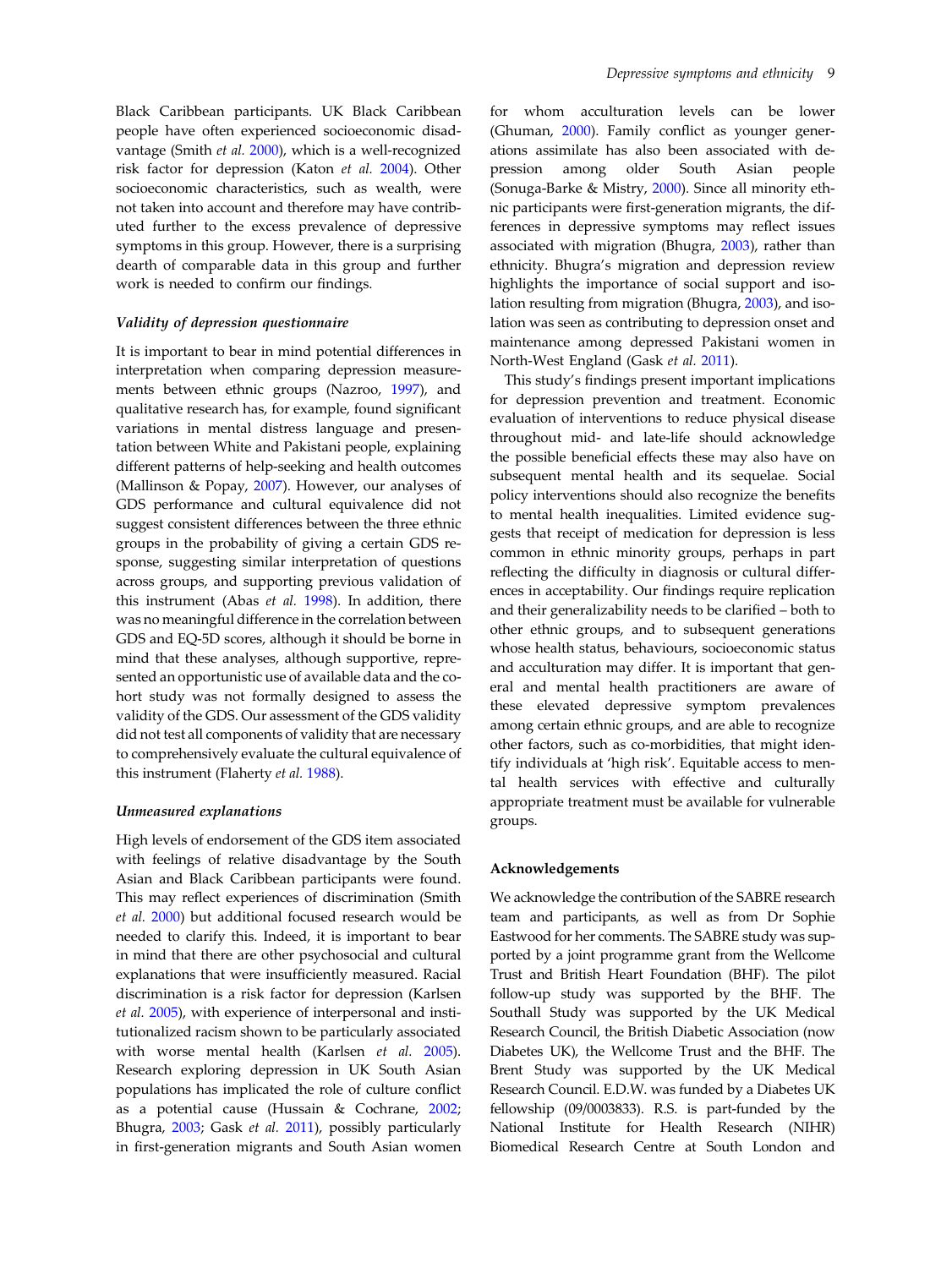Black Caribbean participants. UK Black Caribbean people have often experienced socioeconomic disadvantage (Smith et al. [2000](#page-10-0)), which is a well-recognized risk factor for depression (Katon et al. [2004](#page-9-0)). Other socioeconomic characteristics, such as wealth, were not taken into account and therefore may have contributed further to the excess prevalence of depressive symptoms in this group. However, there is a surprising dearth of comparable data in this group and further work is needed to confirm our findings.

# Validity of depression questionnaire

It is important to bear in mind potential differences in interpretation when comparing depression measurements between ethnic groups (Nazroo, [1997\)](#page-9-0), and qualitative research has, for example, found significant variations in mental distress language and presentation between White and Pakistani people, explaining different patterns of help-seeking and health outcomes (Mallinson & Popay, [2007\)](#page-9-0). However, our analyses of GDS performance and cultural equivalence did not suggest consistent differences between the three ethnic groups in the probability of giving a certain GDS response, suggesting similar interpretation of questions across groups, and supporting previous validation of this instrument (Abas et al. [1998](#page-9-0)). In addition, there was no meaningful difference in the correlation between GDS and EQ-5D scores, although it should be borne in mind that these analyses, although supportive, represented an opportunistic use of available data and the cohort study was not formally designed to assess the validity of the GDS. Our assessment of the GDS validity did not test all components of validity that are necessary to comprehensively evaluate the cultural equivalence of this instrument (Flaherty et al. [1988](#page-9-0)).

# Unmeasured explanations

High levels of endorsement of the GDS item associated with feelings of relative disadvantage by the South Asian and Black Caribbean participants were found. This may reflect experiences of discrimination (Smith et al. [2000\)](#page-10-0) but additional focused research would be needed to clarify this. Indeed, it is important to bear in mind that there are other psychosocial and cultural explanations that were insufficiently measured. Racial discrimination is a risk factor for depression (Karlsen et al. [2005](#page-9-0)), with experience of interpersonal and institutionalized racism shown to be particularly associated with worse mental health (Karlsen et al. [2005](#page-9-0)). Research exploring depression in UK South Asian populations has implicated the role of culture conflict as a potential cause (Hussain & Cochrane, [2002](#page-9-0); Bhugra, [2003;](#page-9-0) Gask et al. [2011\)](#page-9-0), possibly particularly in first-generation migrants and South Asian women

for whom acculturation levels can be lower (Ghuman, [2000\)](#page-9-0). Family conflict as younger generations assimilate has also been associated with depression among older South Asian people (Sonuga-Barke & Mistry, [2000](#page-10-0)). Since all minority ethnic participants were first-generation migrants, the differences in depressive symptoms may reflect issues associated with migration (Bhugra, [2003](#page-9-0)), rather than ethnicity. Bhugra's migration and depression review highlights the importance of social support and isolation resulting from migration (Bhugra, [2003](#page-9-0)), and isolation was seen as contributing to depression onset and maintenance among depressed Pakistani women in North-West England (Gask et al. [2011](#page-9-0)).

This study's findings present important implications for depression prevention and treatment. Economic evaluation of interventions to reduce physical disease throughout mid- and late-life should acknowledge the possible beneficial effects these may also have on subsequent mental health and its sequelae. Social policy interventions should also recognize the benefits to mental health inequalities. Limited evidence suggests that receipt of medication for depression is less common in ethnic minority groups, perhaps in part reflecting the difficulty in diagnosis or cultural differences in acceptability. Our findings require replication and their generalizability needs to be clarified – both to other ethnic groups, and to subsequent generations whose health status, behaviours, socioeconomic status and acculturation may differ. It is important that general and mental health practitioners are aware of these elevated depressive symptom prevalences among certain ethnic groups, and are able to recognize other factors, such as co-morbidities, that might identify individuals at 'high risk'. Equitable access to mental health services with effective and culturally appropriate treatment must be available for vulnerable groups.

#### Acknowledgements

We acknowledge the contribution of the SABRE research team and participants, as well as from Dr Sophie Eastwood for her comments. The SABRE study was supported by a joint programme grant from the Wellcome Trust and British Heart Foundation (BHF). The pilot follow-up study was supported by the BHF. The Southall Study was supported by the UK Medical Research Council, the British Diabetic Association (now Diabetes UK), the Wellcome Trust and the BHF. The Brent Study was supported by the UK Medical Research Council. E.D.W. was funded by a Diabetes UK fellowship (09/0003833). R.S. is part-funded by the National Institute for Health Research (NIHR) Biomedical Research Centre at South London and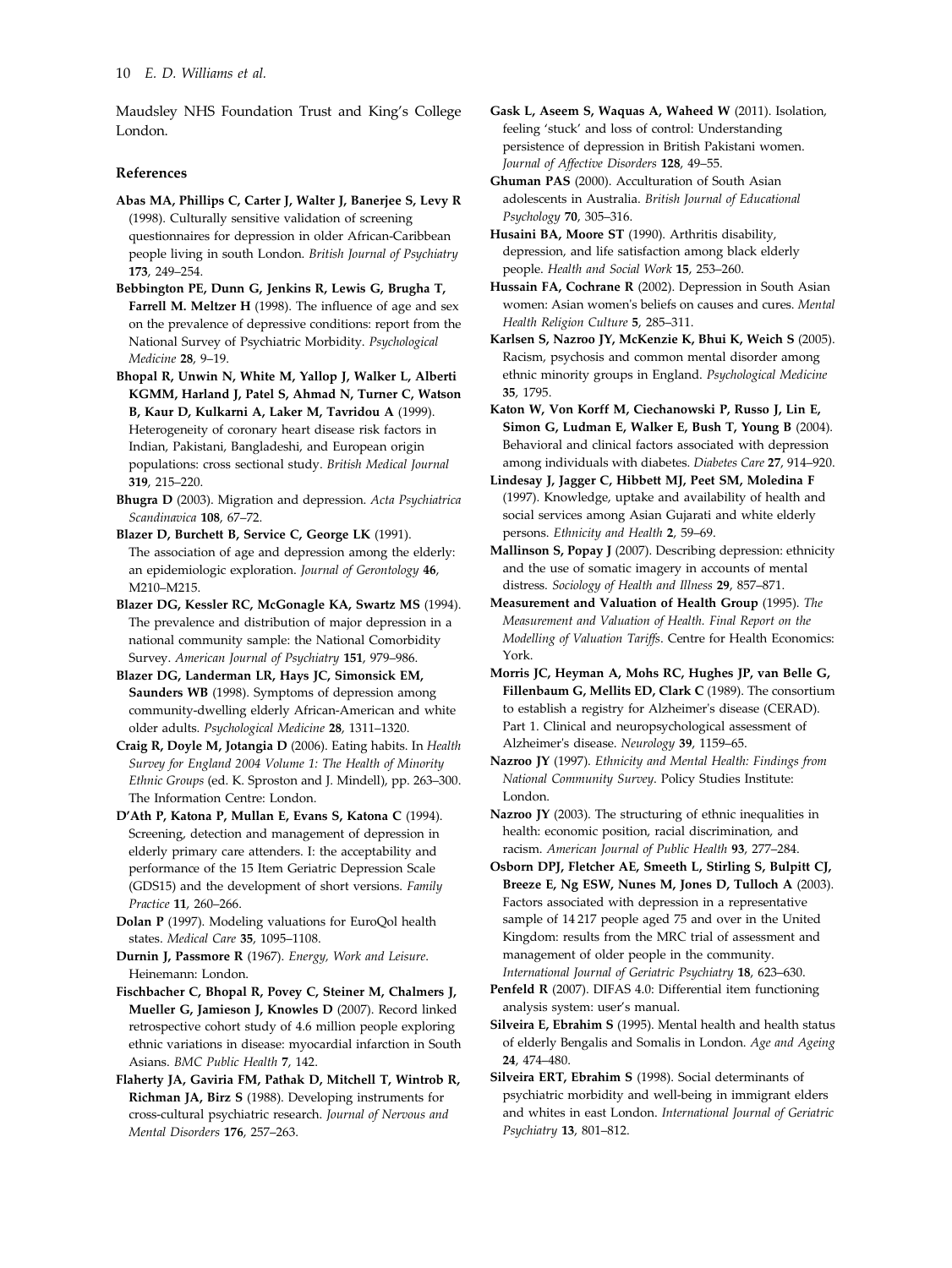<span id="page-9-0"></span>Maudsley NHS Foundation Trust and King's College London.

### References

- Abas MA, Phillips C, Carter J, Walter J, Banerjee S, Levy R (1998). Culturally sensitive validation of screening questionnaires for depression in older African-Caribbean people living in south London. British Journal of Psychiatry 173, 249–254.
- Bebbington PE, Dunn G, Jenkins R, Lewis G, Brugha T, Farrell M. Meltzer H (1998). The influence of age and sex on the prevalence of depressive conditions: report from the National Survey of Psychiatric Morbidity. Psychological Medicine 28, 9–19.
- Bhopal R, Unwin N, White M, Yallop J, Walker L, Alberti KGMM, Harland J, Patel S, Ahmad N, Turner C, Watson B, Kaur D, Kulkarni A, Laker M, Tavridou A (1999). Heterogeneity of coronary heart disease risk factors in Indian, Pakistani, Bangladeshi, and European origin populations: cross sectional study. British Medical Journal 319, 215–220.
- Bhugra D (2003). Migration and depression. Acta Psychiatrica Scandinavica 108, 67–72.
- Blazer D, Burchett B, Service C, George LK (1991). The association of age and depression among the elderly: an epidemiologic exploration. Journal of Gerontology 46, M210–M215.
- Blazer DG, Kessler RC, McGonagle KA, Swartz MS (1994). The prevalence and distribution of major depression in a national community sample: the National Comorbidity Survey. American Journal of Psychiatry 151, 979–986.
- Blazer DG, Landerman LR, Hays JC, Simonsick EM, Saunders WB (1998). Symptoms of depression among community-dwelling elderly African-American and white older adults. Psychological Medicine 28, 1311–1320.
- Craig R, Doyle M, Jotangia D (2006). Eating habits. In Health Survey for England 2004 Volume 1: The Health of Minority Ethnic Groups (ed. K. Sproston and J. Mindell), pp. 263–300. The Information Centre: London.
- D'Ath P, Katona P, Mullan E, Evans S, Katona C (1994). Screening, detection and management of depression in elderly primary care attenders. I: the acceptability and performance of the 15 Item Geriatric Depression Scale (GDS15) and the development of short versions. Family Practice 11, 260–266.
- Dolan P (1997). Modeling valuations for EuroQol health states. Medical Care 35, 1095–1108.
- Durnin J, Passmore R (1967). Energy, Work and Leisure. Heinemann: London.
- Fischbacher C, Bhopal R, Povey C, Steiner M, Chalmers J, Mueller G, Jamieson J, Knowles D (2007). Record linked retrospective cohort study of 4.6 million people exploring ethnic variations in disease: myocardial infarction in South Asians. BMC Public Health 7, 142.
- Flaherty JA, Gaviria FM, Pathak D, Mitchell T, Wintrob R, Richman JA, Birz S (1988). Developing instruments for cross-cultural psychiatric research. Journal of Nervous and Mental Disorders 176, 257–263.
- Gask L, Aseem S, Waquas A, Waheed W (2011). Isolation, feeling 'stuck' and loss of control: Understanding persistence of depression in British Pakistani women. Journal of Affective Disorders 128, 49–55.
- Ghuman PAS (2000). Acculturation of South Asian adolescents in Australia. British Journal of Educational Psychology 70, 305–316.
- Husaini BA, Moore ST (1990). Arthritis disability, depression, and life satisfaction among black elderly people. Health and Social Work 15, 253–260.
- Hussain FA, Cochrane R (2002). Depression in South Asian women: Asian women's beliefs on causes and cures. Mental Health Religion Culture 5, 285–311.
- Karlsen S, Nazroo JY, McKenzie K, Bhui K, Weich S (2005). Racism, psychosis and common mental disorder among ethnic minority groups in England. Psychological Medicine 35, 1795.
- Katon W, Von Korff M, Ciechanowski P, Russo J, Lin E, Simon G, Ludman E, Walker E, Bush T, Young B (2004). Behavioral and clinical factors associated with depression among individuals with diabetes. Diabetes Care 27, 914–920.
- Lindesay J, Jagger C, Hibbett MJ, Peet SM, Moledina F (1997). Knowledge, uptake and availability of health and social services among Asian Gujarati and white elderly persons. Ethnicity and Health 2, 59–69.
- Mallinson S, Popay J (2007). Describing depression: ethnicity and the use of somatic imagery in accounts of mental distress. Sociology of Health and Illness 29, 857–871.
- Measurement and Valuation of Health Group (1995). The Measurement and Valuation of Health. Final Report on the Modelling of Valuation Tariffs. Centre for Health Economics: York.
- Morris JC, Heyman A, Mohs RC, Hughes JP, van Belle G, Fillenbaum G, Mellits ED, Clark C (1989). The consortium to establish a registry for Alzheimer's disease (CERAD). Part 1. Clinical and neuropsychological assessment of Alzheimer's disease. Neurology 39, 1159–65.
- Nazroo JY (1997). Ethnicity and Mental Health: Findings from National Community Survey. Policy Studies Institute: London.
- Nazroo JY (2003). The structuring of ethnic inequalities in health: economic position, racial discrimination, and racism. American Journal of Public Health 93, 277–284.
- Osborn DPJ, Fletcher AE, Smeeth L, Stirling S, Bulpitt CJ, Breeze E, Ng ESW, Nunes M, Jones D, Tulloch A (2003). Factors associated with depression in a representative sample of 14 217 people aged 75 and over in the United Kingdom: results from the MRC trial of assessment and management of older people in the community. International Journal of Geriatric Psychiatry 18, 623–630.
- Penfeld R (2007). DIFAS 4.0: Differential item functioning analysis system: user's manual.
- Silveira E, Ebrahim S (1995). Mental health and health status of elderly Bengalis and Somalis in London. Age and Ageing 24, 474–480.
- Silveira ERT, Ebrahim S (1998). Social determinants of psychiatric morbidity and well-being in immigrant elders and whites in east London. International Journal of Geriatric Psychiatry 13, 801–812.